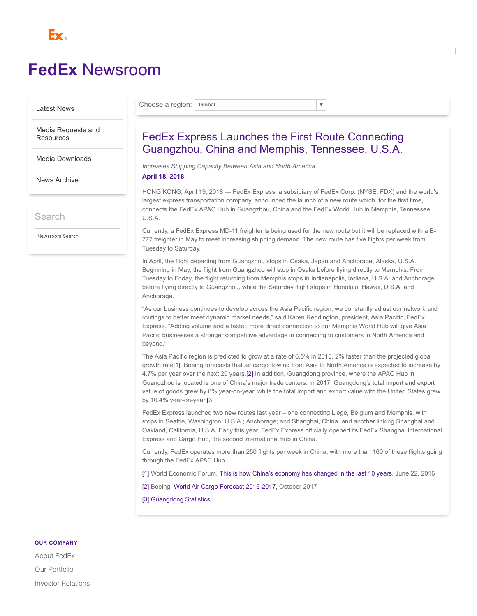

# **FedEx** [Newsroom](https://newsroom.fedex.com/)

#### [Latest News](https://newsroom.fedex.com/)

Choose a region: **Global** ▼

[Media Requests and](https://newsroom.fedex.com/media-requests/) **Resources** 

[Media Downloads](https://newsroom.fedex.com/media-downloads/)

[News Archive](https://newsroom.fedex.com/news-archive/)

Search

Newsroom Search

## FedEx Express Launches the First Route Connecting Guangzhou, China and Memphis, Tennessee, U.S.A.

*Increases Shipping Capacity Between Asia and North America*

#### **April 18, 2018**

HONG KONG, April 19, 2018 — FedEx Express, a subsidiary of FedEx Corp. (NYSE: FDX) and the world's largest express transportation company, announced the launch of a new route which, for the first time, connects the FedEx APAC Hub in Guangzhou, China and the FedEx World Hub in Memphis, Tennessee, U.S.A.

Currently, a FedEx Express MD-11 freighter is being used for the new route but it will be replaced with a B-777 freighter in May to meet increasing shipping demand. The new route has five flights per week from Tuesday to Saturday.

In April, the flight departing from Guangzhou stops in Osaka, Japan and Anchorage, Alaska, U.S.A. Beginning in May, the flight from Guangzhou will stop in Osaka before flying directly to Memphis. From Tuesday to Friday, the flight returning from Memphis stops in Indianapolis, Indiana, U.S.A. and Anchorage before flying directly to Guangzhou, while the Saturday flight stops in Honolulu, Hawaii, U.S.A. and Anchorage.

"As our business continues to develop across the Asia Pacific region, we constantly adjust our network and routings to better meet dynamic market needs," said Karen Reddington, president, Asia Pacific, FedEx Express. "Adding volume and a faster, more direct connection to our Memphis World Hub will give Asia Pacific businesses a stronger competitive advantage in connecting to customers in North America and beyond."

<span id="page-0-4"></span><span id="page-0-3"></span>The Asia Pacific region is predicted to grow at a rate of 6.5% in 2018, 2% faster than the projected global growth rate[\[1\].](#page-0-0) Boeing forecasts that air cargo flowing from Asia to North America is expected to increase by 4.7% per year over the next 20 years.[\[2\]](#page-0-1) In addition, Guangdong province, where the APAC Hub in Guangzhou is located is one of China's major trade centers. In 2017, Guangdong's total import and export value of goods grew by 8% year-on-year, while the total import and export value with the United States grew by 10.4% year-on-year[.\[3\]](#page-0-2)

<span id="page-0-5"></span>FedEx Express launched two new routes last year – one connecting Liège, Belgium and Memphis, with stops in Seattle, Washington, U.S.A.; Anchorage; and Shanghai, China, and another linking Shanghai and Oakland, California, U.S.A. Early this year, FedEx Express officially opened its FedEx Shanghai International Express and Cargo Hub, the second international hub in China.

Currently, FedEx operates more than 250 flights per week in China, with more than 160 of these flights going through the FedEx APAC Hub.

<span id="page-0-0"></span>[\[1\]](#page-0-3) World Economic Forum, This is how China's [economy](https://www.weforum.org/agenda/2016/06/how-has-china-s-economy-changed-in-the-last-10-years/) has changed in the last 10 years, June 22, 2016

<span id="page-0-1"></span>[\[2\]](#page-0-4) Boeing, World Air Cargo Forecast [2016-2017](http://www.boeing.com/resources/boeingdotcom/commercial/about-our-market/cargo-market-detail-wacf/download-report/assets/pdfs/wacf.pdf), October 2017

<span id="page-0-2"></span>[\[3\]](#page-0-5) [Guangdong](http://www.gdstats.gov.cn/tjzl/tjkx/201801/t20180130_380178.html) Statistics

#### **OUR COMPANY**

About [FedEx](http://about.fedex.com/) Our [Portfolio](http://about.van.fedex.com/our-story/company-structure/) Investor [Relations](http://www.fedex.com/us/investorrelations/)